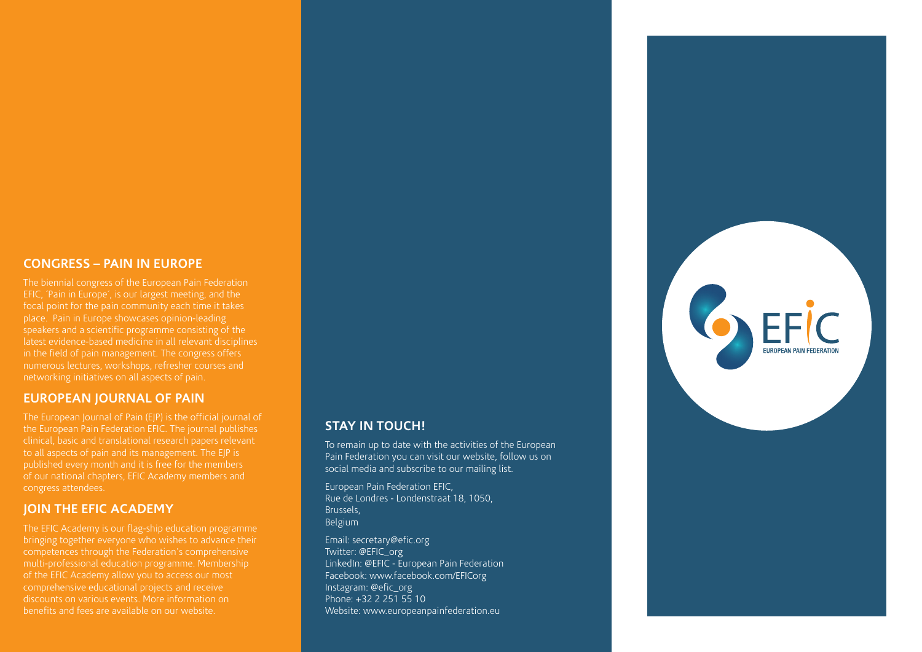### **Congress – Pain in Europe**

place. Pain in Europe showcases opinion-leading in the field of pain management. The congress offers numerous lectures, workshops, refresher courses and networking initiatives on all aspects of pain.

#### **European Journal of Pain**

The European Journal of Pain (EJP) is the official journal of the European Pain Federation EFIC. The journal publishes clinical, basic and translational research papers relevant to all aspects of pain and its management. The EJP is published every month and it is free for the members congress attendees.

### **JOIN THE EFIC ACADEMY**

The EFIC Academy is our flag-ship education programme bringing together everyone who wishes to advance their multi-professional education programme. Membership comprehensive educational projects and receive discounts on various events. More information on benefits and fees are available on our website.

## **Stay in touch!**

To remain up to date with the activities of the European Pain Federation you can visit our website, follow us on social media and subscribe to our mailing list.

GEFIC

**FUROPEAN PAIN FEDERA** 

European Pain Federation EFIC, Rue de Londres - Londenstraat 18, 1050, Brussels, Belgium

Email: secretary@efic.org Twitter: @EFIC\_org LinkedIn: @EFIC - European Pain Federation Facebook: www.facebook.com/EFICorg Instagram: @efic\_org Phone: +32 2 251 55 10 Website: www.europeanpainfederation.eu